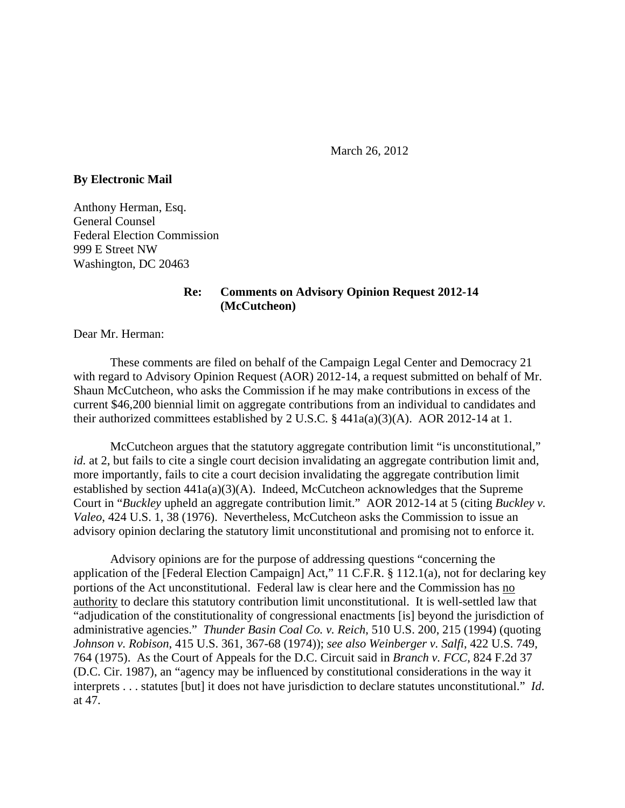March 26, 2012

## **By Electronic Mail**

Anthony Herman, Esq. General Counsel Federal Election Commission 999 E Street NW Washington, DC 20463

## **Re: Comments on Advisory Opinion Request 2012-14 (McCutcheon)**

Dear Mr. Herman:

These comments are filed on behalf of the Campaign Legal Center and Democracy 21 with regard to Advisory Opinion Request (AOR) 2012-14, a request submitted on behalf of Mr. Shaun McCutcheon, who asks the Commission if he may make contributions in excess of the current \$46,200 biennial limit on aggregate contributions from an individual to candidates and their authorized committees established by 2 U.S.C.  $\S$  441a(a)(3)(A). AOR 2012-14 at 1.

McCutcheon argues that the statutory aggregate contribution limit "is unconstitutional," *id.* at 2, but fails to cite a single court decision invalidating an aggregate contribution limit and, more importantly, fails to cite a court decision invalidating the aggregate contribution limit established by section  $441a(a)(3)(A)$ . Indeed, McCutcheon acknowledges that the Supreme Court in "*Buckley* upheld an aggregate contribution limit." AOR 2012-14 at 5 (citing *Buckley v. Valeo*, 424 U.S. 1, 38 (1976). Nevertheless, McCutcheon asks the Commission to issue an advisory opinion declaring the statutory limit unconstitutional and promising not to enforce it.

Advisory opinions are for the purpose of addressing questions "concerning the application of the [Federal Election Campaign] Act," 11 C.F.R. § 112.1(a), not for declaring key portions of the Act unconstitutional. Federal law is clear here and the Commission has no authority to declare this statutory contribution limit unconstitutional. It is well-settled law that "adjudication of the constitutionality of congressional enactments [is] beyond the jurisdiction of administrative agencies." *Thunder Basin Coal Co. v. Reich*, 510 U.S. 200, 215 (1994) (quoting *Johnson v. Robison*, 415 U.S. 361, 367-68 (1974)); *see also Weinberger v. Salfi*, 422 U.S. 749, 764 (1975). As the Court of Appeals for the D.C. Circuit said in *Branch v. FCC*, 824 F.2d 37 (D.C. Cir. 1987), an "agency may be influenced by constitutional considerations in the way it interprets . . . statutes [but] it does not have jurisdiction to declare statutes unconstitutional." *Id*. at 47.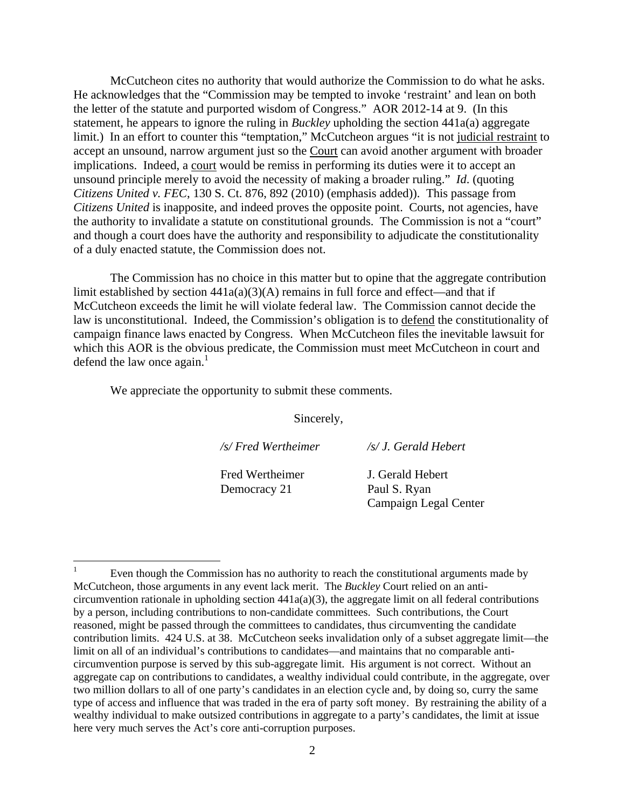McCutcheon cites no authority that would authorize the Commission to do what he asks. He acknowledges that the "Commission may be tempted to invoke 'restraint' and lean on both the letter of the statute and purported wisdom of Congress." AOR 2012-14 at 9. (In this statement, he appears to ignore the ruling in *Buckley* upholding the section 441a(a) aggregate limit.) In an effort to counter this "temptation," McCutcheon argues "it is not judicial restraint to accept an unsound, narrow argument just so the Court can avoid another argument with broader implications. Indeed, a court would be remiss in performing its duties were it to accept an unsound principle merely to avoid the necessity of making a broader ruling." *Id*. (quoting *Citizens United v. FEC*, 130 S. Ct. 876, 892 (2010) (emphasis added)). This passage from *Citizens United* is inapposite, and indeed proves the opposite point. Courts, not agencies, have the authority to invalidate a statute on constitutional grounds. The Commission is not a "court" and though a court does have the authority and responsibility to adjudicate the constitutionality of a duly enacted statute, the Commission does not.

The Commission has no choice in this matter but to opine that the aggregate contribution limit established by section  $441a(a)(3)(A)$  remains in full force and effect—and that if McCutcheon exceeds the limit he will violate federal law. The Commission cannot decide the law is unconstitutional. Indeed, the Commission's obligation is to defend the constitutionality of campaign finance laws enacted by Congress. When McCutcheon files the inevitable lawsuit for which this AOR is the obvious predicate, the Commission must meet McCutcheon in court and defend the law once again. $<sup>1</sup>$ </sup>

We appreciate the opportunity to submit these comments.

 $\overline{a}$ 

Sincerely,

*/s/ Fred Wertheimer /s/ J. Gerald Hebert*  Fred Wertheimer **J.** Gerald Hebert Democracy 21 Paul S. Ryan Campaign Legal Center

<sup>1</sup> Even though the Commission has no authority to reach the constitutional arguments made by McCutcheon, those arguments in any event lack merit. The *Buckley* Court relied on an anticircumvention rationale in upholding section 441a(a)(3), the aggregate limit on all federal contributions by a person, including contributions to non-candidate committees. Such contributions, the Court reasoned, might be passed through the committees to candidates, thus circumventing the candidate contribution limits. 424 U.S. at 38. McCutcheon seeks invalidation only of a subset aggregate limit—the limit on all of an individual's contributions to candidates—and maintains that no comparable anticircumvention purpose is served by this sub-aggregate limit. His argument is not correct. Without an aggregate cap on contributions to candidates, a wealthy individual could contribute, in the aggregate, over two million dollars to all of one party's candidates in an election cycle and, by doing so, curry the same type of access and influence that was traded in the era of party soft money. By restraining the ability of a wealthy individual to make outsized contributions in aggregate to a party's candidates, the limit at issue here very much serves the Act's core anti-corruption purposes.